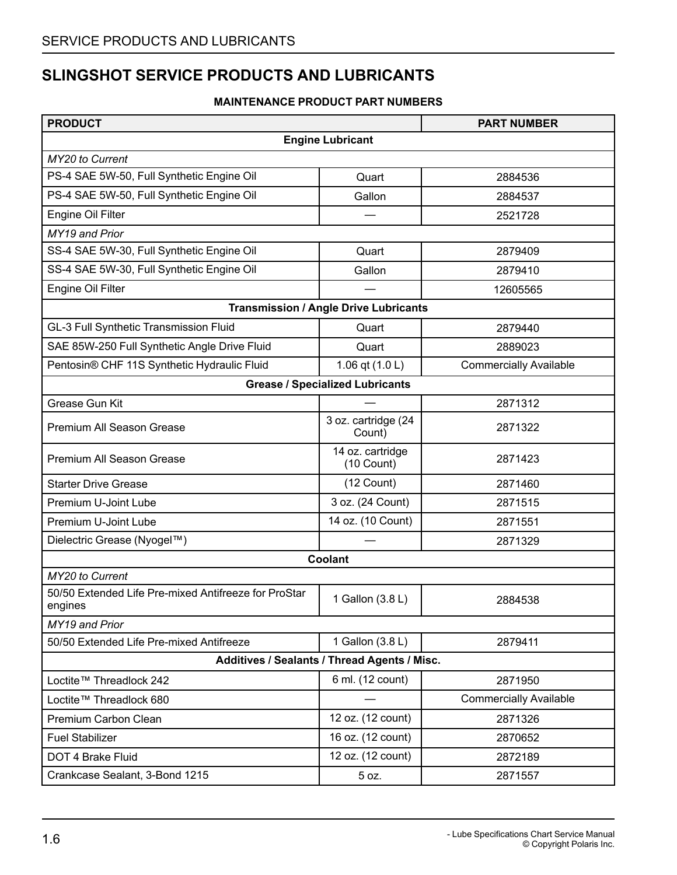### **SLINGSHOT SERVICE PRODUCTS AND LUBRICANTS**

#### **MAINTENANCE PRODUCT PART NUMBERS**

| <b>PRODUCT</b>                                                  |                                              | <b>PART NUMBER</b>            |
|-----------------------------------------------------------------|----------------------------------------------|-------------------------------|
|                                                                 | <b>Engine Lubricant</b>                      |                               |
| MY20 to Current                                                 |                                              |                               |
| PS-4 SAE 5W-50, Full Synthetic Engine Oil                       | Quart                                        | 2884536                       |
| PS-4 SAE 5W-50, Full Synthetic Engine Oil                       | Gallon                                       | 2884537                       |
| Engine Oil Filter                                               |                                              | 2521728                       |
| MY19 and Prior                                                  |                                              |                               |
| SS-4 SAE 5W-30, Full Synthetic Engine Oil                       | Quart                                        | 2879409                       |
| SS-4 SAE 5W-30, Full Synthetic Engine Oil                       | Gallon                                       | 2879410                       |
| Engine Oil Filter                                               |                                              | 12605565                      |
|                                                                 | <b>Transmission / Angle Drive Lubricants</b> |                               |
| GL-3 Full Synthetic Transmission Fluid                          | Quart                                        | 2879440                       |
| SAE 85W-250 Full Synthetic Angle Drive Fluid                    | Quart                                        | 2889023                       |
| Pentosin® CHF 11S Synthetic Hydraulic Fluid                     | 1.06 qt (1.0 L)                              | <b>Commercially Available</b> |
|                                                                 | <b>Grease / Specialized Lubricants</b>       |                               |
| <b>Grease Gun Kit</b>                                           |                                              | 2871312                       |
| Premium All Season Grease                                       | 3 oz. cartridge (24<br>Count)                | 2871322                       |
| Premium All Season Grease                                       | 14 oz. cartridge<br>(10 Count)               | 2871423                       |
| <b>Starter Drive Grease</b>                                     | $(12$ Count)                                 | 2871460                       |
| Premium U-Joint Lube                                            | 3 oz. (24 Count)                             | 2871515                       |
| Premium U-Joint Lube                                            | 14 oz. (10 Count)                            | 2871551                       |
| Dielectric Grease (Nyogel™)                                     |                                              | 2871329                       |
|                                                                 | Coolant                                      |                               |
| MY20 to Current                                                 |                                              |                               |
| 50/50 Extended Life Pre-mixed Antifreeze for ProStar<br>engines | 1 Gallon (3.8 L)                             | 2884538                       |
| MY19 and Prior                                                  |                                              |                               |
| 50/50 Extended Life Pre-mixed Antifreeze                        | 1 Gallon (3.8 L)                             | 2879411                       |
|                                                                 | Additives / Sealants / Thread Agents / Misc. |                               |
| Loctite™ Threadlock 242                                         | 6 ml. (12 count)                             | 2871950                       |
| Loctite™ Threadlock 680                                         |                                              | <b>Commercially Available</b> |
| Premium Carbon Clean                                            | 12 oz. (12 count)                            | 2871326                       |
| <b>Fuel Stabilizer</b>                                          | 16 oz. (12 count)                            | 2870652                       |
| DOT 4 Brake Fluid                                               | 12 oz. (12 count)                            | 2872189                       |
| Crankcase Sealant, 3-Bond 1215                                  | 5 oz.                                        | 2871557                       |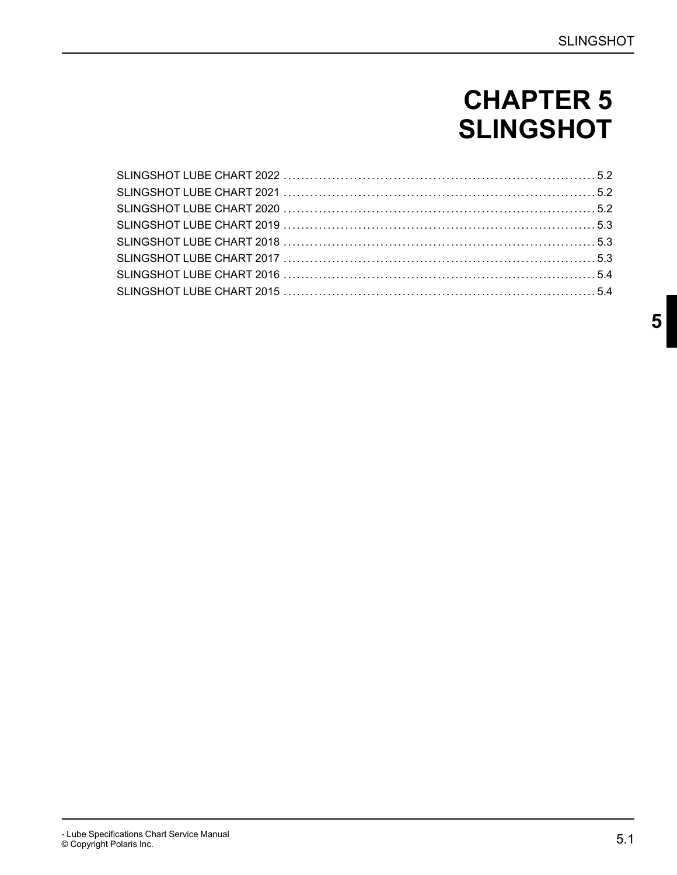# **CHAPTER 5 SLINGSHOT**

<span id="page-1-0"></span>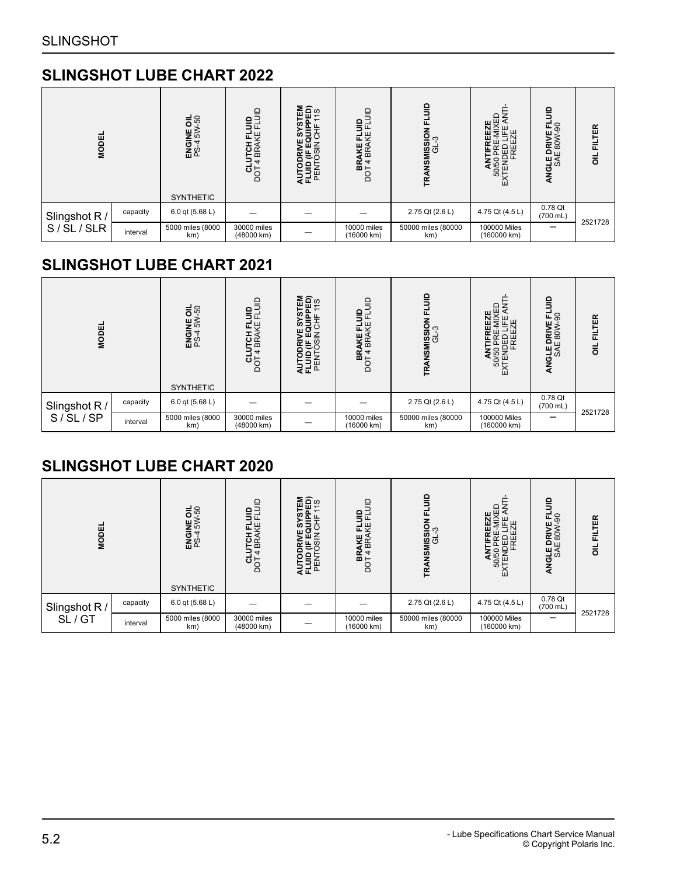### <span id="page-2-0"></span>**SLINGSHOT LUBE CHART 2022**

| <b>MODEL</b>  |          | $\frac{1}{50}$<br>ENGINE<br>PS-455W<br><b>SYNTHETIC</b> | <b>SELUS</b><br><b>ITCH FL</b><br>BRAKE<br>щ<br>$\overline{ }$<br>ថក្<br>Ă | <b>គួ</b> គ្និ¤<br>ဖာ<br>∍<br>58<br>결도표 | $\supseteq$<br>BRAKE FLUID<br>DOT 4 BRAKE FLU | 음<br>FLUID<br><b>TRANSMISSION<br/>GL-3</b> | ≏<br>ਸ਼⊻ੁੰਕ<br>50/50 PRE-wi.<br>XTENDED LIFE<br>KTENDED LIFE<br>⋒ | $\frac{1}{2}$<br>8<br>щ.<br>ANGLE DRIVE<br>SAE 80W- | <b>FILTER</b><br>$\overline{5}$ |
|---------------|----------|---------------------------------------------------------|----------------------------------------------------------------------------|-----------------------------------------|-----------------------------------------------|--------------------------------------------|-------------------------------------------------------------------|-----------------------------------------------------|---------------------------------|
|               | capacity | 6.0 qt (5.68 L)                                         |                                                                            |                                         |                                               | 2.75 Qt (2.6 L)                            | 4.75 Qt (4.5 L)                                                   | 0.78 Qt                                             |                                 |
| Slingshot R / |          |                                                         |                                                                            |                                         |                                               |                                            |                                                                   | $(700 \text{ mL})$                                  | 2521728                         |
| S/SL/SLR      | interval | 5000 miles (8000<br>km)                                 | 30000 miles<br>(48000 km)                                                  |                                         | 10000 miles<br>(16000 km)                     | 50000 miles (80000<br>km)                  | 100000 Miles<br>(160000 km)                                       |                                                     |                                 |

### <span id="page-2-1"></span>**SLINGSHOT LUBE CHART 2021**

| <b>MODEL</b>  |          | $\frac{1}{2}$<br>NE<br>E<br>S<br><b>ENGI</b><br>PS4 | $\equiv$<br>용단<br>로운<br>은요<br>4<br>ចិ | 띮<br>មិត្<br>∍<br>ທ<br>Ζ<br><b>ATER</b><br>25 | $\supseteq$<br><b>BRAKE FLUID</b><br>DOT 4 BRAKE FLU | $\frac{1}{2}$<br>군<br>NSMISSION F<br>GL-3<br>TRAI | ₩Ä<br>50/50 PRE-MIX<br>EXTENDED LIFE<br>EXTENDED LIFE<br>EXTENDED LIFE<br>٣ | $\frac{1}{2}$<br>SO<br>ш<br>ANGLE DRIVE<br>SAE 80W | <b>FILTER</b><br>$\overline{a}$ |
|---------------|----------|-----------------------------------------------------|---------------------------------------|-----------------------------------------------|------------------------------------------------------|---------------------------------------------------|-----------------------------------------------------------------------------|----------------------------------------------------|---------------------------------|
|               |          | <b>SYNTHETIC</b>                                    |                                       |                                               |                                                      |                                                   |                                                                             |                                                    |                                 |
| Slingshot R / | capacity | 6.0 qt (5.68 L)                                     |                                       |                                               |                                                      | 2.75 Qt (2.6 L)                                   | 4.75 Qt (4.5 L)                                                             | 0.78 Qt<br>$(700$ mL)                              | 2521728                         |
| S/SL/SP       | interval | 5000 miles (8000<br>km)                             | 30000 miles<br>(48000 km)             |                                               | 10000 miles<br>(16000 km)                            | 50000 miles (80000<br>km)                         | 100000 Miles<br>(160000 km)                                                 |                                                    |                                 |

### <span id="page-2-2"></span>**SLINGSHOT LUBE CHART 2020**

| <b>MODEL</b>  |          | $\frac{1}{5}$<br>E<br>E≫<br><b>ENGI</b><br>PS4 | $\mathsf{S}$<br>용권<br>٣<br>은요<br>4<br>ಠಕ್ಷ<br>ă | 띯<br>មិត្<br>ທ<br>∍<br>O<br><b>AER</b><br>25 | $\equiv$<br><b>BRAKE FLUID</b><br>DOT 4 BRAKE FLU | $\epsilon$<br>ᇆ<br>NSMISSION<br>GL-3<br>F | <b>EZE</b><br>4)XED<br>LE<br>ZH<br>뷙<br>50/50 PRE-<br>EXTENDED LI<br>EXTENDED LI | $\mathsf{e}$<br>90<br>i DRIVI<br>E 80W<br>ANGLE<br>SAE | <b>FILTER</b><br>$\overline{a}$ |
|---------------|----------|------------------------------------------------|-------------------------------------------------|----------------------------------------------|---------------------------------------------------|-------------------------------------------|----------------------------------------------------------------------------------|--------------------------------------------------------|---------------------------------|
|               |          | <b>SYNTHETIC</b>                               |                                                 |                                              |                                                   |                                           |                                                                                  |                                                        |                                 |
| Slingshot R / | capacity | 6.0 qt (5.68 L)                                |                                                 |                                              |                                                   | 2.75 Qt (2.6 L)                           | 4.75 Qt (4.5 L)                                                                  | 0.78 Qt<br>$(700 \text{ mL})$                          |                                 |
| SL/GT         | interval | 5000 miles (8000<br>km)                        | 30000 miles<br>(48000 km)                       |                                              | 10000 miles<br>(16000 km)                         | 50000 miles (80000<br>km)                 | 100000 Miles<br>(160000 km)                                                      |                                                        | 2521728                         |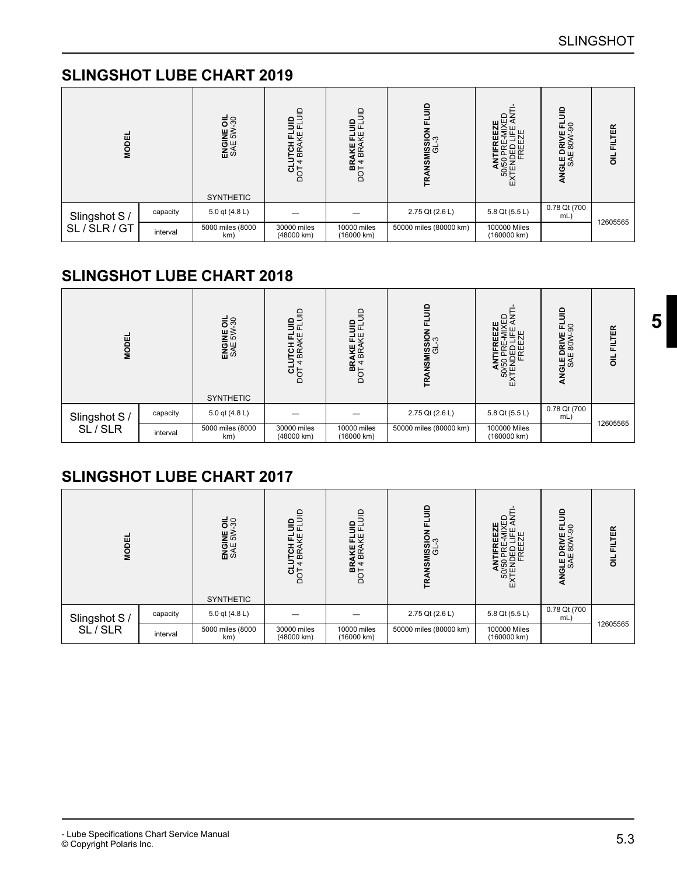## <span id="page-3-0"></span>**SLINGSHOT LUBE CHART 2019**

| <b>MODEL</b>  |          | $\frac{1}{5}$ $\frac{8}{7}$<br>ENGINE<br>SAE 5W | $\exists$<br>$\mathsf{e}$<br><b>FCH</b><br>BRA<br>ᅿ<br>$\frac{1}{2}$ | $\supseteq$<br>읔<br>AKE<br>BRA<br>$B +$<br>g | ≘<br>MISSION<br>GL-3<br>☑<br>Æ | 出<br>巴区<br>c<br>50/5C<br>KTENI<br>⋒ | ۵<br>로응<br><b>IGLE DRIVE I</b><br>SAE 80W-9<br>ব | <b>FILTER</b><br>$\vec{5}$ |
|---------------|----------|-------------------------------------------------|----------------------------------------------------------------------|----------------------------------------------|--------------------------------|-------------------------------------|--------------------------------------------------|----------------------------|
|               |          | <b>SYNTHETIC</b>                                |                                                                      |                                              |                                |                                     |                                                  |                            |
| Slingshot S / | capacity | 5.0 qt (4.8 L)                                  |                                                                      |                                              | 2.75 Qt (2.6 L)                | 5.8 Qt (5.5 L)                      | 0.78 Qt (700<br>mL)                              |                            |
| SL/SLR/GT     | interval | 5000 miles (8000<br>km)                         | 30000 miles<br>(48000 km)                                            | 10000 miles<br>(16000 km)                    | 50000 miles (80000 km)         | 100000 Miles<br>(160000 km)         |                                                  | 12605565                   |

### <span id="page-3-1"></span>**SLINGSHOT LUBE CHART 2018**

| <b>MODEL</b>  |          | $\frac{1}{5}$ $\frac{8}{7}$<br>ENGINE<br>SAE 5W | <b>CINT</b><br>용탄<br>ΚË<br>щ.<br><b>LCH</b><br>BKY<br>4<br>$\frac{d}{d}$ | $\supseteq$<br>용단<br>군쌎<br>AKE<br>BRA<br>BRA<br>DOT4B | ≘<br><b>ASMISSION</b><br>GL-3<br>Ę | ≏<br>H <sup>以</sup><br>IDED I<br>FREE<br>50/50<br><b>CTENL</b><br>⋒ | $\frac{1}{2}$<br>로 8<br>DRIVE<br>= 80W-9<br>ANGLED<br>SAE | <b>FILTER</b><br>ᇹ |
|---------------|----------|-------------------------------------------------|--------------------------------------------------------------------------|-------------------------------------------------------|------------------------------------|---------------------------------------------------------------------|-----------------------------------------------------------|--------------------|
|               |          | <b>SYNTHETIC</b>                                |                                                                          |                                                       |                                    |                                                                     |                                                           |                    |
| Slingshot S / | capacity | 5.0 qt (4.8 L)                                  |                                                                          |                                                       | 2.75 Qt (2.6 L)                    | 5.8 Qt (5.5 L)                                                      | 0.78 Qt (700<br>mL)                                       | 12605565           |
| SL/SLR        | interval | 5000 miles (8000<br>km)                         | 30000 miles<br>(48000 km)                                                | 10000 miles<br>(16000 km)                             | 50000 miles (80000 km)             | 100000 Miles<br>(160000 km)                                         |                                                           |                    |

### <span id="page-3-2"></span>**SLINGSHOT LUBE CHART 2017**

| <b>MODEL</b>  |          | ENGINE OIL<br>SAE 5W-30<br><b>SYNTHETIC</b> | anna<br>Ba<br>TCH<br>BRA<br>$\overline{a}$<br>ar<br>S | $\supseteq$<br>e<br>5<br>ш<br>씾<br><b>AKE</b><br>BRA<br>$B +$<br>8 | ≘<br><b>ASMISSION</b><br>GL-3<br>ᆮ | Η<br>50/50 Pr<br>XTENDEI<br>FRI<br>⋒ | $\Omega$<br>NGLE DRIVE FI<br>SAE 80W-90<br>₹ | <b>FILTER</b><br>$\vec{5}$ |
|---------------|----------|---------------------------------------------|-------------------------------------------------------|--------------------------------------------------------------------|------------------------------------|--------------------------------------|----------------------------------------------|----------------------------|
|               |          |                                             |                                                       |                                                                    |                                    |                                      |                                              |                            |
| Slingshot S / | capacity | 5.0 qt (4.8 L)                              |                                                       |                                                                    | 2.75 Qt (2.6 L)                    | 5.8 Qt (5.5 L)                       | 0.78 Qt (700<br>mL)                          |                            |
| SL/SLR        | interval | 5000 miles (8000<br>km)                     | 30000 miles<br>(48000 km)                             | 10000 miles<br>(16000 km)                                          | 50000 miles (80000 km)             | 100000 Miles<br>(160000 km)          |                                              | 12605565                   |